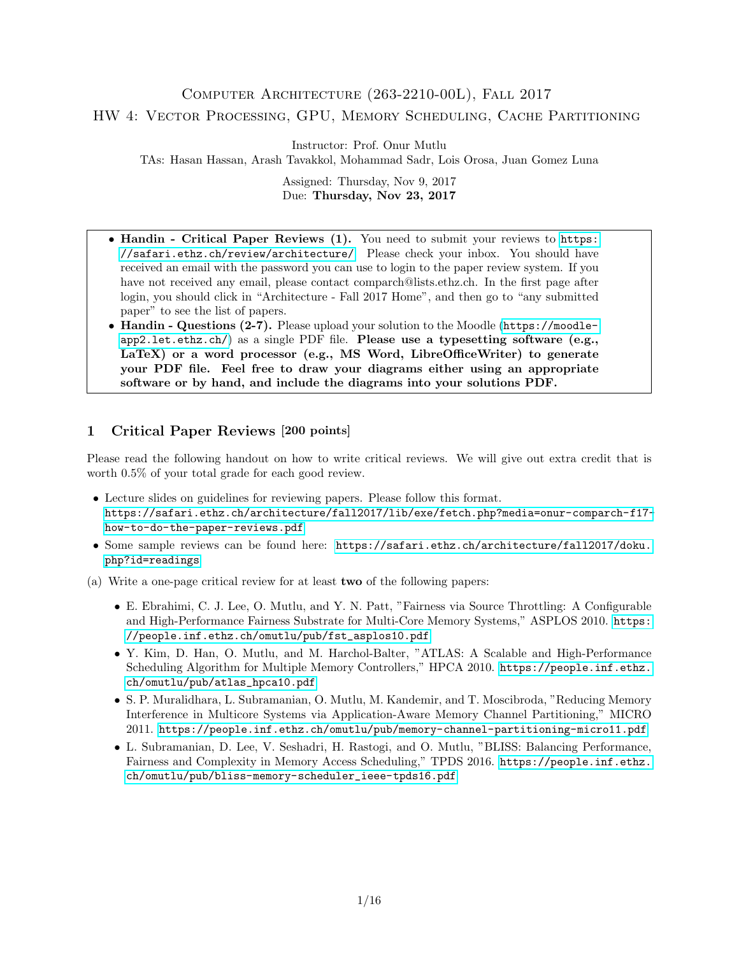# Computer Architecture (263-2210-00L), Fall 2017 HW 4: Vector Processing, GPU, Memory Scheduling, Cache Partitioning

Instructor: Prof. Onur Mutlu

TAs: Hasan Hassan, Arash Tavakkol, Mohammad Sadr, Lois Orosa, Juan Gomez Luna

Assigned: Thursday, Nov 9, 2017 Due: Thursday, Nov 23, 2017

- Handin Critical Paper Reviews (1). You need to submit your reviews to [https:](https://safari.ethz.ch/review/architecture/) [//safari.ethz.ch/review/architecture/](https://safari.ethz.ch/review/architecture/). Please check your inbox. You should have received an email with the password you can use to login to the paper review system. If you have not received any email, please contact comparch@lists.ethz.ch. In the first page after login, you should click in "Architecture - Fall 2017 Home", and then go to "any submitted paper" to see the list of papers.
- Handin Questions (2-7). Please upload your solution to the Moodle ([https://moodle](https://moodle-app2.let.ethz.ch/) $app2.1$ et.ethz.ch/) as a single PDF file. Please use a typesetting software (e.g., LaTeX) or a word processor (e.g., MS Word, LibreOfficeWriter) to generate your PDF file. Feel free to draw your diagrams either using an appropriate software or by hand, and include the diagrams into your solutions PDF.

## 1 Critical Paper Reviews [200 points]

Please read the following handout on how to write critical reviews. We will give out extra credit that is worth 0.5% of your total grade for each good review.

- Lecture slides on guidelines for reviewing papers. Please follow this format. [https://safari.ethz.ch/architecture/fall2017/lib/exe/fetch.php?media=onur-comparch-f17](https://safari.ethz.ch/architecture/fall2017/lib/exe/fetch.php?media=onur-comparch-f17-how-to-do-the-paper-reviews.pdf) [how-to-do-the-paper-reviews.pdf](https://safari.ethz.ch/architecture/fall2017/lib/exe/fetch.php?media=onur-comparch-f17-how-to-do-the-paper-reviews.pdf)
- Some sample reviews can be found here: [https://safari.ethz.ch/architecture/fall2017/doku.](https://safari.ethz.ch/architecture/fall2017/doku.php?id=readings) [php?id=readings](https://safari.ethz.ch/architecture/fall2017/doku.php?id=readings)
- (a) Write a one-page critical review for at least two of the following papers:
	- E. Ebrahimi, C. J. Lee, O. Mutlu, and Y. N. Patt, "Fairness via Source Throttling: A Configurable and High-Performance Fairness Substrate for Multi-Core Memory Systems," ASPLOS 2010. [https:](https://people.inf.ethz.ch/omutlu/pub/fst_asplos10.pdf) [//people.inf.ethz.ch/omutlu/pub/fst\\_asplos10.pdf](https://people.inf.ethz.ch/omutlu/pub/fst_asplos10.pdf)
	- Y. Kim, D. Han, O. Mutlu, and M. Harchol-Balter, "ATLAS: A Scalable and High-Performance Scheduling Algorithm for Multiple Memory Controllers," HPCA 2010. [https://people.inf.ethz.](https://people.inf.ethz.ch/omutlu/pub/atlas_hpca10.pdf) [ch/omutlu/pub/atlas\\_hpca10.pdf](https://people.inf.ethz.ch/omutlu/pub/atlas_hpca10.pdf)
	- S. P. Muralidhara, L. Subramanian, O. Mutlu, M. Kandemir, and T. Moscibroda, "Reducing Memory Interference in Multicore Systems via Application-Aware Memory Channel Partitioning," MICRO 2011. <https://people.inf.ethz.ch/omutlu/pub/memory-channel-partitioning-micro11.pdf>
	- L. Subramanian, D. Lee, V. Seshadri, H. Rastogi, and O. Mutlu, "BLISS: Balancing Performance, Fairness and Complexity in Memory Access Scheduling," TPDS 2016. [https://people.inf.ethz.](https://people.inf.ethz.ch/omutlu/pub/bliss-memory-scheduler_ieee-tpds16.pdf) [ch/omutlu/pub/bliss-memory-scheduler\\_ieee-tpds16.pdf](https://people.inf.ethz.ch/omutlu/pub/bliss-memory-scheduler_ieee-tpds16.pdf)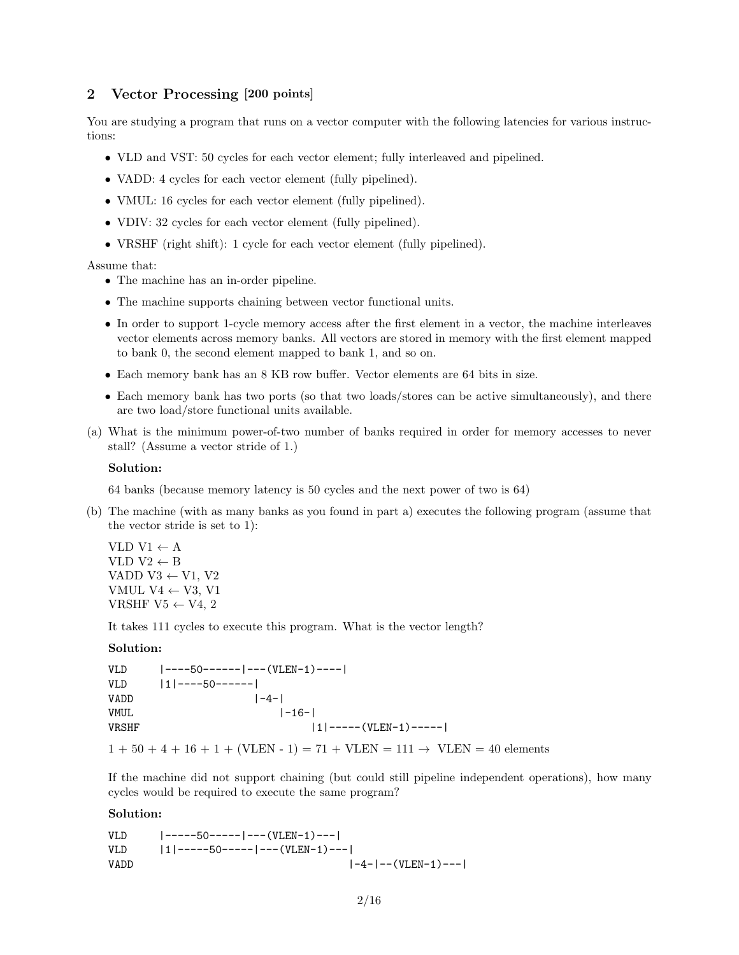### 2 Vector Processing [200 points]

You are studying a program that runs on a vector computer with the following latencies for various instructions:

- VLD and VST: 50 cycles for each vector element; fully interleaved and pipelined.
- VADD: 4 cycles for each vector element (fully pipelined).
- VMUL: 16 cycles for each vector element (fully pipelined).
- VDIV: 32 cycles for each vector element (fully pipelined).
- VRSHF (right shift): 1 cycle for each vector element (fully pipelined).

Assume that:

- The machine has an in-order pipeline.
- The machine supports chaining between vector functional units.
- In order to support 1-cycle memory access after the first element in a vector, the machine interleaves vector elements across memory banks. All vectors are stored in memory with the first element mapped to bank 0, the second element mapped to bank 1, and so on.
- Each memory bank has an 8 KB row buffer. Vector elements are 64 bits in size.
- Each memory bank has two ports (so that two loads/stores can be active simultaneously), and there are two load/store functional units available.
- (a) What is the minimum power-of-two number of banks required in order for memory accesses to never stall? (Assume a vector stride of 1.)

#### Solution:

64 banks (because memory latency is 50 cycles and the next power of two is 64)

(b) The machine (with as many banks as you found in part a) executes the following program (assume that the vector stride is set to 1):

VLD  $V1 \leftarrow A$ VLD  $V2 \leftarrow B$ VADD V3  $\leftarrow$  V1, V2 VMUL V4  $\leftarrow$  V3, V1 VRSHF V5  $\leftarrow$  V4, 2

It takes 111 cycles to execute this program. What is the vector length?

#### Solution:

VLD |----50------|---(VLEN-1)----|  $VLD$  |1|----50------|  $VADD$   $|-4-|$ VMUL  $|-16-|$ VRSHF  $|1|$ -----(VLEN-1)-----|

 $1 + 50 + 4 + 16 + 1 + (VLEN - 1) = 71 + VLEN = 111 \rightarrow VLEN = 40$  elements

If the machine did not support chaining (but could still pipeline independent operations), how many cycles would be required to execute the same program?

#### Solution:

| VLD.        | -----50----- ---(VLEN-1)---          |
|-------------|--------------------------------------|
| VI.D        | $ 1 $ -----50------- --- (VLEN-1)--- |
| <b>VADD</b> | $ -4- -$ (VLEN-1)---1                |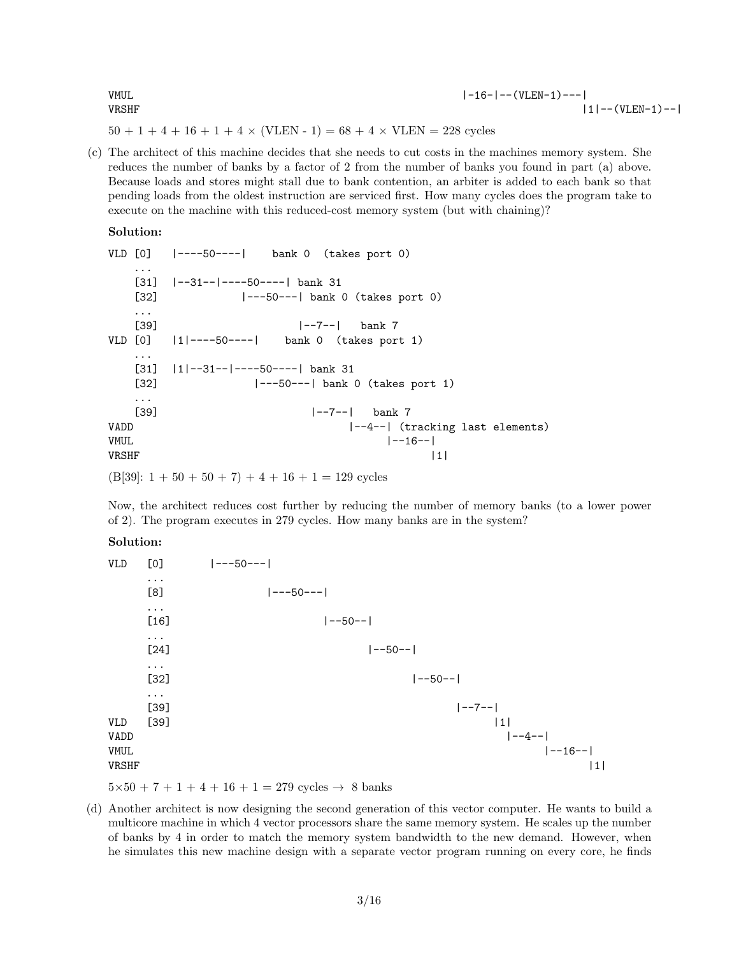| VMUL  | $ -16- -$ (VLEN-1)--- |
|-------|-----------------------|
| VRSHF | $ 1 $ -- (VLEN-1)--   |

 $50 + 1 + 4 + 16 + 1 + 4 \times (VLEN - 1) = 68 + 4 \times VLEN = 228$  cycles

(c) The architect of this machine decides that she needs to cut costs in the machines memory system. She reduces the number of banks by a factor of 2 from the number of banks you found in part (a) above. Because loads and stores might stall due to bank contention, an arbiter is added to each bank so that pending loads from the oldest instruction are serviced first. How many cycles does the program take to execute on the machine with this reduced-cost memory system (but with chaining)?

#### Solution:

VLD [0] |----50----| bank 0 (takes port 0) ... [31]  $|-31-|-|---50---|$  bank 31 [32]  $|---50---|$  bank 0 (takes port 0) ...  $[39]$   $|-7 |$  bank 7<br> $[0]$   $|1|$ ----50----| bank 0 (takes por VLD [0] |1|----50----| bank 0 (takes port 1) ... [31] |1|--31--|----50----| bank 31 [32] |---50---| bank 0 (takes port 1) ... [39] |--7--| bank 7 VADD  $\vert -4--\vert$  (tracking last elements)  $VMUL$   $|--16--|$  $VRSHF$  |1|  $(B[39]: 1 + 50 + 50 + 7) + 4 + 16 + 1 = 129$  cycles

Now, the architect reduces cost further by reducing the number of memory banks (to a lower power of 2). The program executes in 279 cycles. How many banks are in the system?

#### Solution:

| <b>VLD</b>          | [0]                          | $ ---50--- $            |
|---------------------|------------------------------|-------------------------|
|                     | $\cdots$<br>[8]              | $ ---50--- $            |
|                     | $\cdots$<br>$[16]$           | $ --50-- $              |
|                     | $\ddots$                     |                         |
|                     | $[24]$<br>$\cdots$           | $ --50-- $              |
|                     | $[32]$                       | $ --50-- $              |
| VLD                 | $\cdots$<br>$[39]$<br>$[39]$ | $ - - 7 - -  $<br> 1    |
| VADD<br><b>VMUL</b> |                              | $ --4- - $<br>$ -16-- $ |
| VRSHF               |                              | 1                       |

 $5\times50 + 7 + 1 + 4 + 16 + 1 = 279$  cycles  $\rightarrow 8$  banks

(d) Another architect is now designing the second generation of this vector computer. He wants to build a multicore machine in which 4 vector processors share the same memory system. He scales up the number of banks by 4 in order to match the memory system bandwidth to the new demand. However, when he simulates this new machine design with a separate vector program running on every core, he finds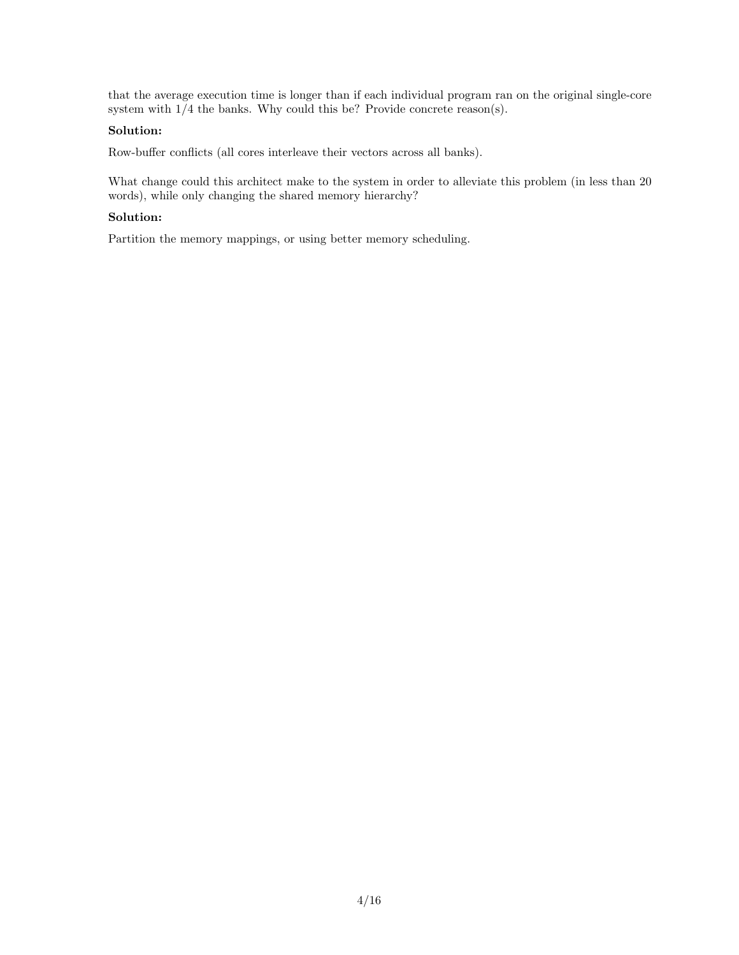that the average execution time is longer than if each individual program ran on the original single-core system with 1/4 the banks. Why could this be? Provide concrete reason(s).

### Solution:

Row-buffer conflicts (all cores interleave their vectors across all banks).

What change could this architect make to the system in order to alleviate this problem (in less than 20 words), while only changing the shared memory hierarchy?

### Solution:

Partition the memory mappings, or using better memory scheduling.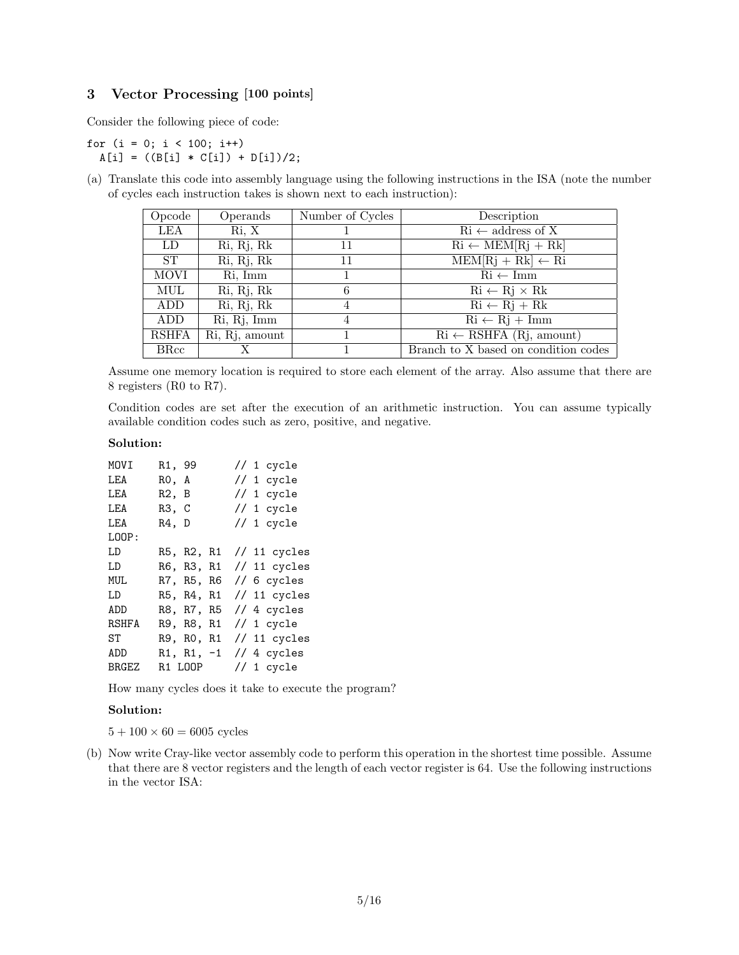### 3 Vector Processing [100 points]

Consider the following piece of code:

for  $(i = 0; i < 100; i++)$  $A[i] = ((B[i] * C[i]) + D[i])/2;$ 

(a) Translate this code into assembly language using the following instructions in the ISA (note the number of cycles each instruction takes is shown next to each instruction):

| Opcode       | Operands       | Number of Cycles | Description                                                 |
|--------------|----------------|------------------|-------------------------------------------------------------|
| LEA          | Ri, X          |                  | $\mathrm{R}i \leftarrow$ address of X                       |
| LD           | Ri, Rj, Rk     | 11               | $\mathrm{Ri} \leftarrow \mathrm{MEM}[Rj + Rk]$              |
| <b>ST</b>    | Ri, Rj, Rk     | 11               | $MEM[Rj + Rk] \leftarrow Ri$                                |
| <b>MOVI</b>  | Ri, Imm        |                  | $\mathrm{Ri} \leftarrow \mathrm{Imm}$                       |
| MUL          | Ri, Rj, Rk     | 6                | $\mathrm{Ri} \leftarrow \mathrm{Rj} \times \mathrm{Rk}$     |
| ADD          | Ri, Rj, Rk     | 4                | $\mathrm{Ri} \leftarrow \mathrm{Rj} + \mathrm{Rk}$          |
| ADD          | Ri, Rj, Imm    | 4                | $\mathrm{Ri} \leftarrow \mathrm{Rj} + \mathrm{Imm}$         |
| <b>RSHFA</b> | Ri, Rj, amount |                  | $\overline{\text{Ri} \leftarrow \text{RSHFA}}$ (Rj, amount) |
| <b>BRcc</b>  |                |                  | Branch to X based on condition codes                        |

Assume one memory location is required to store each element of the array. Also assume that there are 8 registers (R0 to R7).

Condition codes are set after the execution of an arithmetic instruction. You can assume typically available condition codes such as zero, positive, and negative.

### Solution:

| MOVI         | R1, 99 |              | // 1 $cycle$ |
|--------------|--------|--------------|--------------|
| LEA          | RO, A  |              | // 1 $cycle$ |
| LEA          | R2, B  |              | // 1 $cycle$ |
| LEA          | R3, C  |              | // 1 cycle   |
| LEA          | R4, D  |              | // 1 cycle   |
| LOOP:        |        |              |              |
| LD           |        | R5, R2, R1   | // 11 cycles |
| LD           |        | R6, R3, R1   | // 11 cycles |
| MUL          |        | R7, R5, R6   | // 6 cycles  |
| LD           |        | R5, R4, R1   | // 11 cycles |
| ADD          |        | R8, R7, R5   | // 4 cycles  |
| RSHFA        |        | R9, R8, R1   | // 1 cycle   |
| ST           |        | R9, R0, R1   | // 11 cycles |
| ADD          |        | $R1, R1, -1$ | // 4 cycles  |
| <b>BRGEZ</b> |        | R1 LOOP      | // 1 $cycle$ |

How many cycles does it take to execute the program?

### Solution:

 $5 + 100 \times 60 = 6005$  cycles

(b) Now write Cray-like vector assembly code to perform this operation in the shortest time possible. Assume that there are 8 vector registers and the length of each vector register is 64. Use the following instructions in the vector ISA: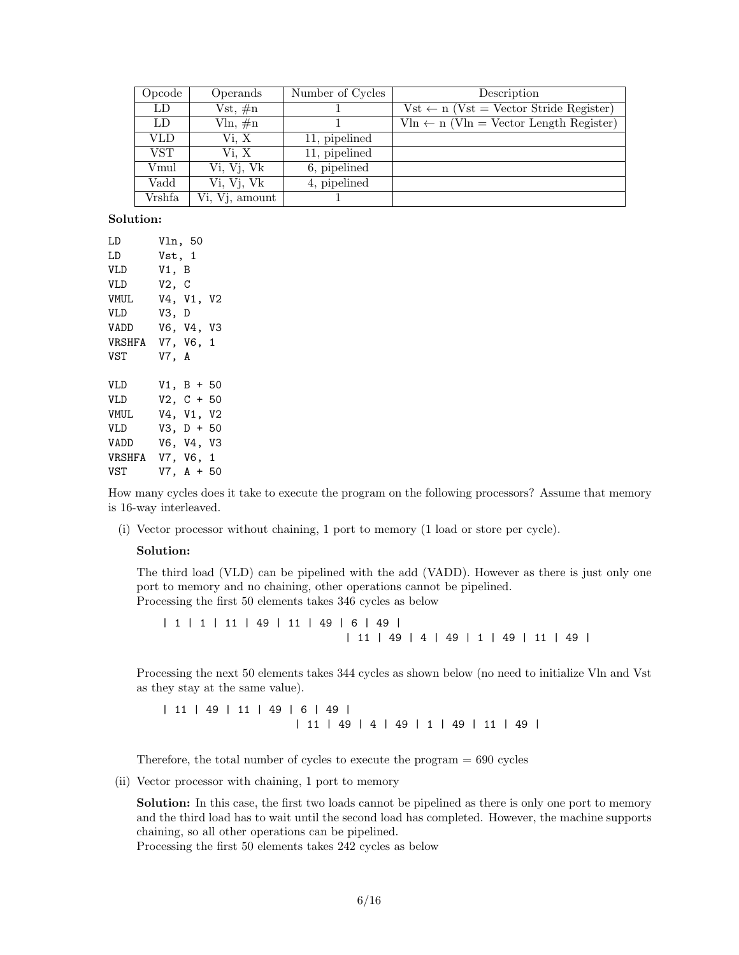| Opcode | Operands       | Number of Cycles | Description                                        |
|--------|----------------|------------------|----------------------------------------------------|
| LD     | $Vst, \#n$     |                  | $Vst \leftarrow n$ (Vst = Vector Stride Register)  |
| LD     | $\nu$ ln, #n   |                  | $V\ln \leftarrow n$ (Vln = Vector Length Register) |
| VLD    | Vi. X          | 11, pipelined    |                                                    |
| VST.   | Vi. X          | 11, pipelined    |                                                    |
| Vmul   | Vi, Vj, Vk     | 6, pipelined     |                                                    |
| Vadd   | Vi, Vj, Vk     | 4, pipelined     |                                                    |
| Vrshfa | Vi, Vj, amount |                  |                                                    |

| LD               | Vln, 50 |              |  |
|------------------|---------|--------------|--|
| LD               | Vst, 1  |              |  |
| <b>VLD</b>       | V1, B   |              |  |
| VLD              | V2, C   |              |  |
| VMUL             |         | V4, V1, V2   |  |
| <b>VLD</b>       | V3, D   |              |  |
| VADD             |         | V6, V4, V3   |  |
| VRSHFA V7, V6, 1 |         |              |  |
| VST              | V7, A   |              |  |
| <b>VLD</b>       |         | $V1, B + 50$ |  |
| <b>VLD</b>       |         | $V2, C + 50$ |  |
| <b>VMUL</b>      |         | V4, V1, V2   |  |
| <b>VLD</b>       |         | $V3, D + 50$ |  |
| VADD             |         | V6, V4, V3   |  |
| VRSHFA           |         | V7, V6, 1    |  |
| <b>VST</b>       |         | $V7, A + 50$ |  |

How many cycles does it take to execute the program on the following processors? Assume that memory is 16-way interleaved.

(i) Vector processor without chaining, 1 port to memory (1 load or store per cycle).

#### Solution:

The third load (VLD) can be pipelined with the add (VADD). However as there is just only one port to memory and no chaining, other operations cannot be pipelined. Processing the first 50 elements takes 346 cycles as below

| 1 | 1 | 11 | 49 | 11 | 49 | 6 | 49 | | 11 | 49 | 4 | 49 | 1 | 49 | 11 | 49 |

Processing the next 50 elements takes 344 cycles as shown below (no need to initialize Vln and Vst as they stay at the same value).

| 11 | 49 | 11 | 49 | 6 | 49 | | 11 | 49 | 4 | 49 | 1 | 49 | 11 | 49 |

Therefore, the total number of cycles to execute the program  $= 690$  cycles

(ii) Vector processor with chaining, 1 port to memory

Solution: In this case, the first two loads cannot be pipelined as there is only one port to memory and the third load has to wait until the second load has completed. However, the machine supports chaining, so all other operations can be pipelined.

Processing the first 50 elements takes 242 cycles as below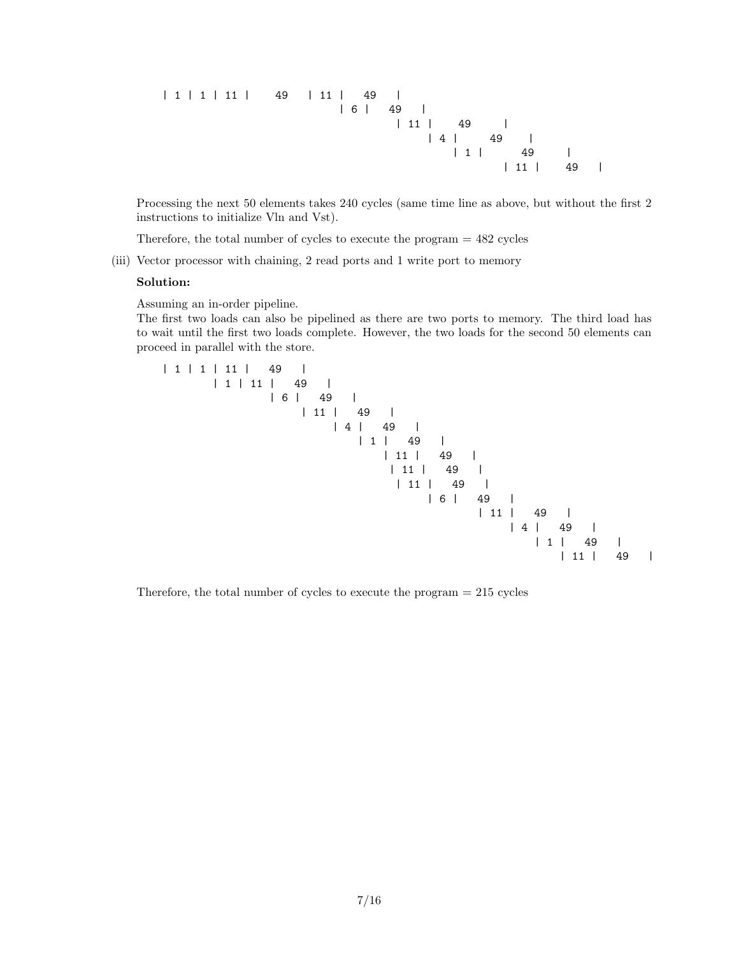| 1 | 1 | 11 | 49 | 11 | 49 | | 6 | 49 | | 11 | 49 | | 4 | 49 | | 1 | 49 | | 11 | 49 |

Processing the next 50 elements takes 240 cycles (same time line as above, but without the first 2 instructions to initialize Vln and Vst).

Therefore, the total number of cycles to execute the program = 482 cycles

(iii) Vector processor with chaining, 2 read ports and 1 write port to memory

#### Solution:

Assuming an in-order pipeline.

The first two loads can also be pipelined as there are two ports to memory. The third load has to wait until the first two loads complete. However, the two loads for the second 50 elements can proceed in parallel with the store.

| 1 | 1 | 11 | 49 | | 1 | 11 | 49 | | 6 | 49 | | 11 | 49 | | 4 | 49 | | 1 | 49 | | 11 | 49 | | 11 | 49 | | 11 | 49 | | 6 | 49 | | 11 | 49 | | 4 | 49 | | 1 | 49 | | 11 | 49 |

Therefore, the total number of cycles to execute the program  $= 215$  cycles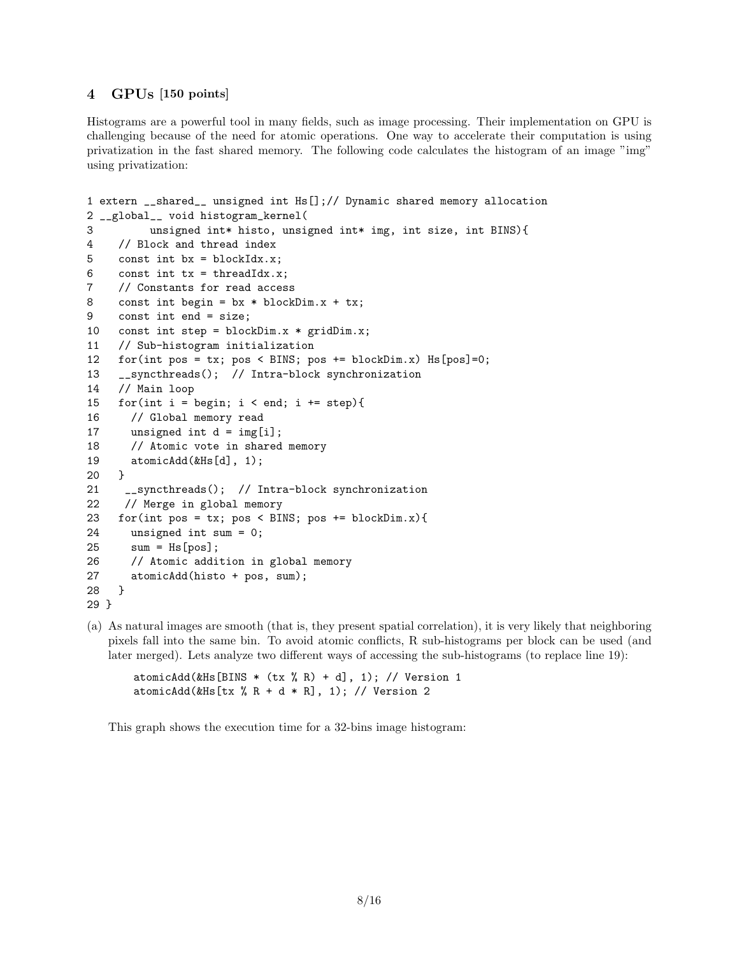### 4 GPUs [150 points]

Histograms are a powerful tool in many fields, such as image processing. Their implementation on GPU is challenging because of the need for atomic operations. One way to accelerate their computation is using privatization in the fast shared memory. The following code calculates the histogram of an image "img" using privatization:

```
1 extern __shared__ unsigned int Hs[];// Dynamic shared memory allocation
2 __global__ void histogram_kernel(
3 unsigned int* histo, unsigned int* img, int size, int BINS){
4 // Block and thread index
5 const int bx = blockIdx.x;6 const int tx = threadIdx.x;7 // Constants for read access
8 const int begin = bx * blockDim.x + tx;9 const int end = size;
10 const int step = blockDim.x * gridDim.x;
11 // Sub-histogram initialization
12 for(int pos = tx; pos < BINS; pos += blockDim.x) Hs[pos]=0;
13 __syncthreads(); // Intra-block synchronization
14 // Main loop
15 for(int i = begin; i < end; i += step){
16 // Global memory read
17 unsigned int d = img[i];
18 // Atomic vote in shared memory
19 atomicAdd(&Hs[d], 1);
20 }
21 __syncthreads(); // Intra-block synchronization
22 // Merge in global memory
23 for(int pos = tx; pos < BINS; pos += blockDim.x){
24 unsigned int sum = 0;
25 sum = Hs[pos];
26 // Atomic addition in global memory
27 atomicAdd(histo + pos, sum);
28 }
29 }
```
(a) As natural images are smooth (that is, they present spatial correlation), it is very likely that neighboring pixels fall into the same bin. To avoid atomic conflicts, R sub-histograms per block can be used (and later merged). Lets analyze two different ways of accessing the sub-histograms (to replace line 19):

atomicAdd(&Hs[BINS  $*$  (tx % R) + d], 1); // Version 1 atomicAdd(&Hs[tx % R + d \* R], 1); // Version 2

This graph shows the execution time for a 32-bins image histogram: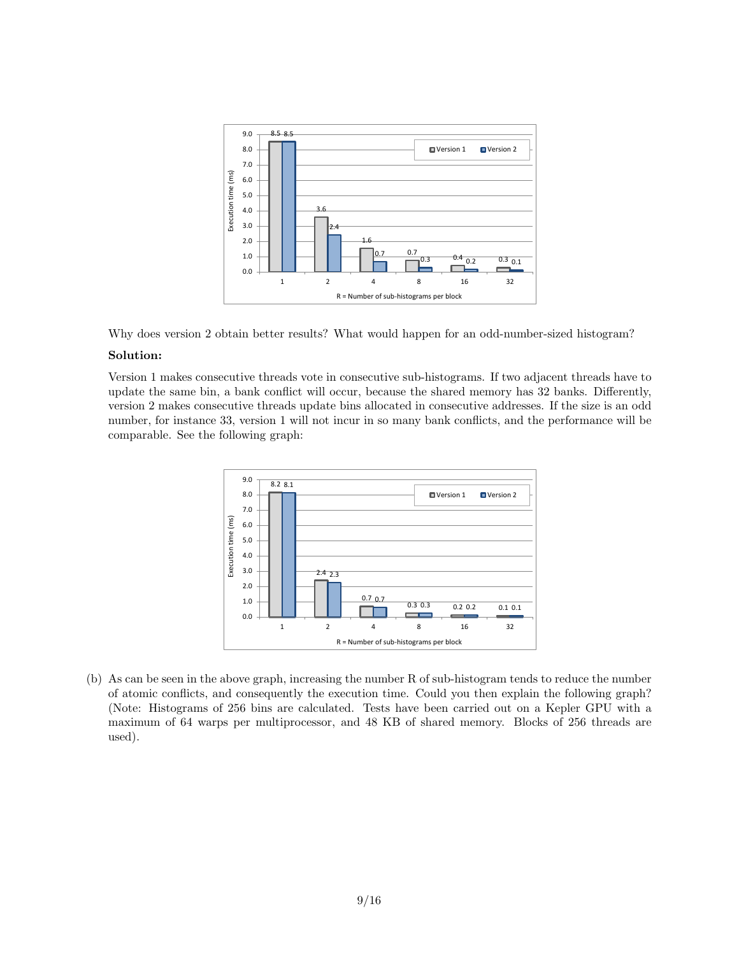



Version 1 makes consecutive threads vote in consecutive sub-histograms. If two adjacent threads have to update the same bin, a bank conflict will occur, because the shared memory has 32 banks. Differently, version 2 makes consecutive threads update bins allocated in consecutive addresses. If the size is an odd number, for instance 33, version 1 will not incur in so many bank conflicts, and the performance will be comparable. See the following graph:



(b) As can be seen in the above graph, increasing the number R of sub-histogram tends to reduce the number of atomic conflicts, and consequently the execution time. Could you then explain the following graph? (Note: Histograms of 256 bins are calculated. Tests have been carried out on a Kepler GPU with a maximum of 64 warps per multiprocessor, and 48 KB of shared memory. Blocks of 256 threads are used).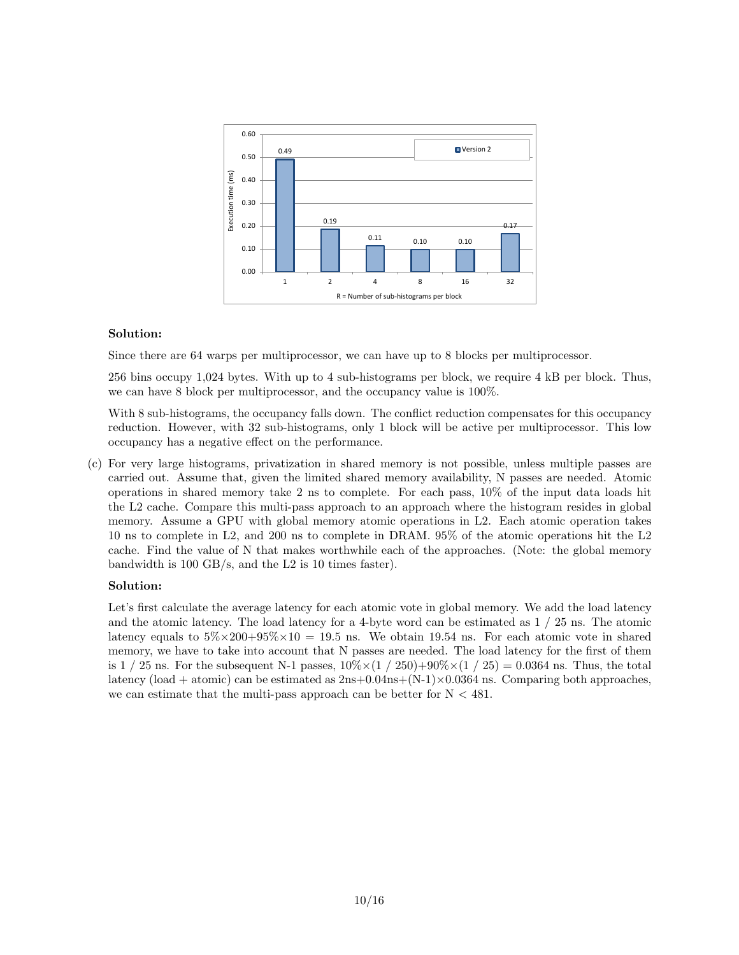

Since there are 64 warps per multiprocessor, we can have up to 8 blocks per multiprocessor.

256 bins occupy 1,024 bytes. With up to 4 sub-histograms per block, we require 4 kB per block. Thus, we can have 8 block per multiprocessor, and the occupancy value is 100%.

With 8 sub-histograms, the occupancy falls down. The conflict reduction compensates for this occupancy reduction. However, with 32 sub-histograms, only 1 block will be active per multiprocessor. This low occupancy has a negative effect on the performance.

(c) For very large histograms, privatization in shared memory is not possible, unless multiple passes are carried out. Assume that, given the limited shared memory availability, N passes are needed. Atomic operations in shared memory take 2 ns to complete. For each pass, 10% of the input data loads hit the L2 cache. Compare this multi-pass approach to an approach where the histogram resides in global memory. Assume a GPU with global memory atomic operations in L2. Each atomic operation takes 10 ns to complete in L2, and 200 ns to complete in DRAM. 95% of the atomic operations hit the L2 cache. Find the value of N that makes worthwhile each of the approaches. (Note: the global memory bandwidth is 100 GB/s, and the L2 is 10 times faster).

### Solution:

Let's first calculate the average latency for each atomic vote in global memory. We add the load latency and the atomic latency. The load latency for a 4-byte word can be estimated as 1 / 25 ns. The atomic latency equals to  $5\% \times 200 + 95\% \times 10 = 19.5$  ns. We obtain 19.54 ns. For each atomic vote in shared memory, we have to take into account that N passes are needed. The load latency for the first of them is  $1/25$  ns. For the subsequent N-1 passes,  $10\% \times (1/250) + 90\% \times (1/25) = 0.0364$  ns. Thus, the total latency (load + atomic) can be estimated as  $2ns+0.04ns+(N-1)\times 0.0364$  ns. Comparing both approaches, we can estimate that the multi-pass approach can be better for  $N < 481$ .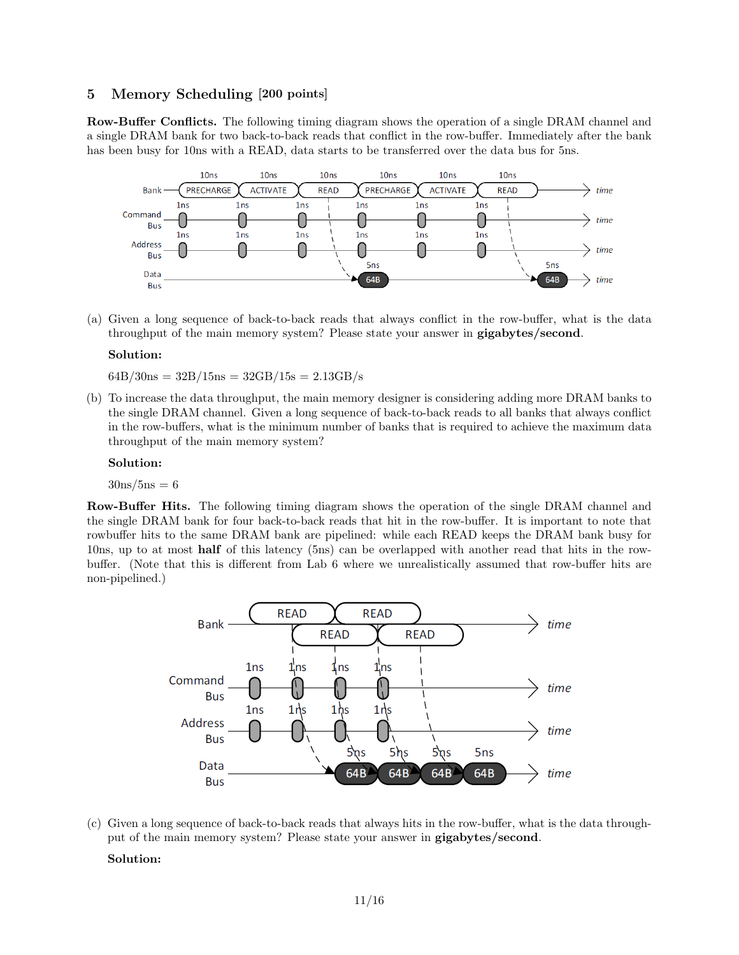### 5 Memory Scheduling [200 points]

Row-Buffer Conflicts. The following timing diagram shows the operation of a single DRAM channel and a single DRAM bank for two back-to-back reads that conflict in the row-buffer. Immediately after the bank has been busy for 10ns with a READ, data starts to be transferred over the data bus for 5ns.



(a) Given a long sequence of back-to-back reads that always conflict in the row-buffer, what is the data throughput of the main memory system? Please state your answer in gigabytes/second.

#### Solution:

 $64B/30ns = 32B/15ns = 32GB/15s = 2.13GB/s$ 

(b) To increase the data throughput, the main memory designer is considering adding more DRAM banks to the single DRAM channel. Given a long sequence of back-to-back reads to all banks that always conflict in the row-buffers, what is the minimum number of banks that is required to achieve the maximum data throughput of the main memory system?

#### Solution:

 $30 \text{ns}}/5$ ns = 6

Row-Buffer Hits. The following timing diagram shows the operation of the single DRAM channel and the single DRAM bank for four back-to-back reads that hit in the row-buffer. It is important to note that rowbuffer hits to the same DRAM bank are pipelined: while each READ keeps the DRAM bank busy for 10ns, up to at most half of this latency (5ns) can be overlapped with another read that hits in the rowbuffer. (Note that this is different from Lab 6 where we unrealistically assumed that row-buffer hits are non-pipelined.)



(c) Given a long sequence of back-to-back reads that always hits in the row-buffer, what is the data throughput of the main memory system? Please state your answer in gigabytes/second.

#### Solution: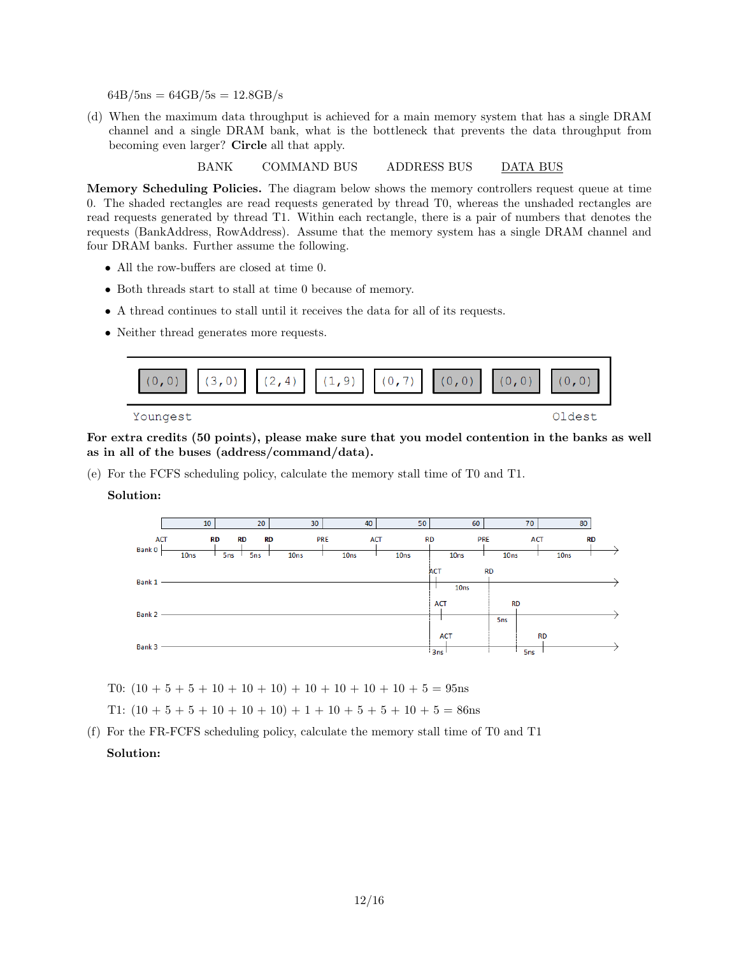$64B/5ns = 64GB/5s = 12.8GB/s$ 

(d) When the maximum data throughput is achieved for a main memory system that has a single DRAM channel and a single DRAM bank, what is the bottleneck that prevents the data throughput from becoming even larger? Circle all that apply.

BANK COMMAND BUS ADDRESS BUS DATA BUS

Memory Scheduling Policies. The diagram below shows the memory controllers request queue at time 0. The shaded rectangles are read requests generated by thread T0, whereas the unshaded rectangles are read requests generated by thread T1. Within each rectangle, there is a pair of numbers that denotes the requests (BankAddress, RowAddress). Assume that the memory system has a single DRAM channel and four DRAM banks. Further assume the following.

- All the row-buffers are closed at time 0.
- Both threads start to stall at time 0 because of memory.
- A thread continues to stall until it receives the data for all of its requests.
- Neither thread generates more requests.



For extra credits (50 points), please make sure that you model contention in the banks as well as in all of the buses (address/command/data).

(e) For the FCFS scheduling policy, calculate the memory stall time of T0 and T1.

### Solution:



T0:  $(10 + 5 + 5 + 10 + 10 + 10) + 10 + 10 + 10 + 10 + 5 = 95$ ns

T1:  $(10 + 5 + 5 + 10 + 10 + 10) + 1 + 10 + 5 + 5 + 10 + 5 = 86$ ns

(f) For the FR-FCFS scheduling policy, calculate the memory stall time of T0 and T1 Solution: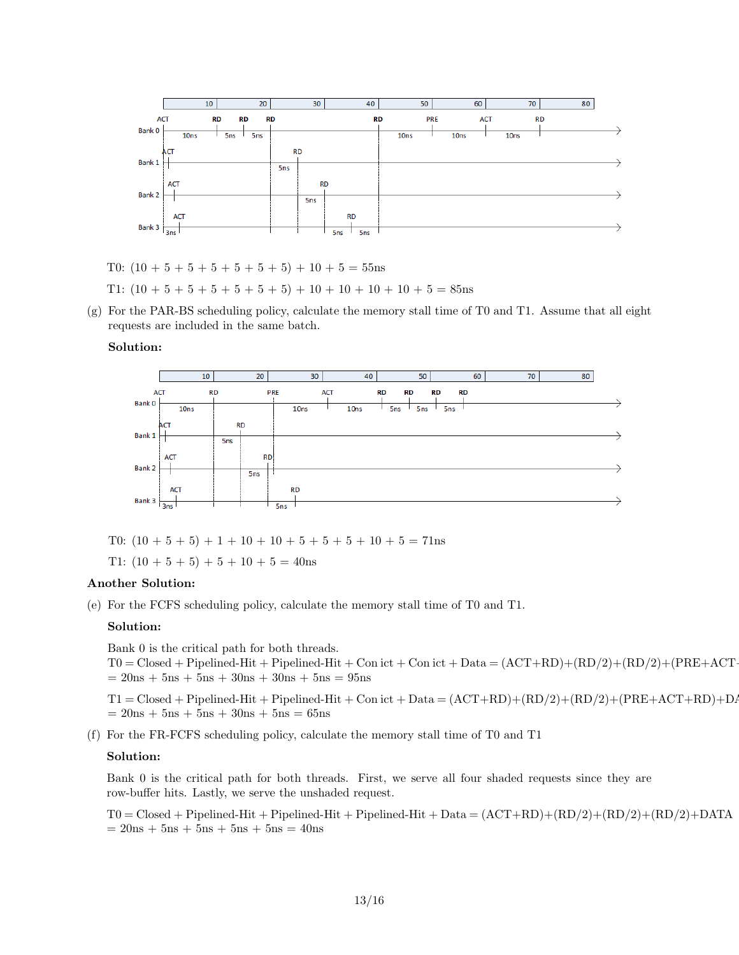

- T0:  $(10 + 5 + 5 + 5 + 5 + 5 + 5) + 10 + 5 = 55$ ns
- T1:  $(10 + 5 + 5 + 5 + 5 + 5 + 5) + 10 + 10 + 10 + 10 + 5 = 85$ ns
- (g) For the PAR-BS scheduling policy, calculate the memory stall time of T0 and T1. Assume that all eight requests are included in the same batch.



T0:  $(10 + 5 + 5) + 1 + 10 + 10 + 5 + 5 + 5 + 10 + 5 = 71$ ns

T1:  $(10 + 5 + 5) + 5 + 10 + 5 = 40$ ns

### Another Solution:

(e) For the FCFS scheduling policy, calculate the memory stall time of T0 and T1.

#### Solution:

Bank 0 is the critical path for both threads.

 $T0 = Closed + Pipelined-Hit + Pipelined-Hit + Con ict + Con ict + Data = (ACT+RD)+(RD/2)+(RD/2)+(PRE+ACT+CL)$  $= 20ns + 5ns + 5ns + 30ns + 30ns + 5ns = 95ns$ 

 $T1 = Closed + Pipelined-Hit + Pipelined-Hit + Con ict + Data = (ACT+RD)+(RD/2)+(RD/2)+(PRE+ACT+RD)+DAT$  $= 20ns + 5ns + 5ns + 30ns + 5ns = 65ns$ 

(f) For the FR-FCFS scheduling policy, calculate the memory stall time of T0 and T1

#### Solution:

Bank 0 is the critical path for both threads. First, we serve all four shaded requests since they are row-buffer hits. Lastly, we serve the unshaded request.

 $T0 = Closed + Pipelined-Hit + Pipelined-Hit + Pipelined-Hit + Data = (ACT+RD)+(RD/2)+(RD/2)+(RD/2)+DATA$  $= 20ns + 5ns + 5ns + 5ns + 5ns = 40ns$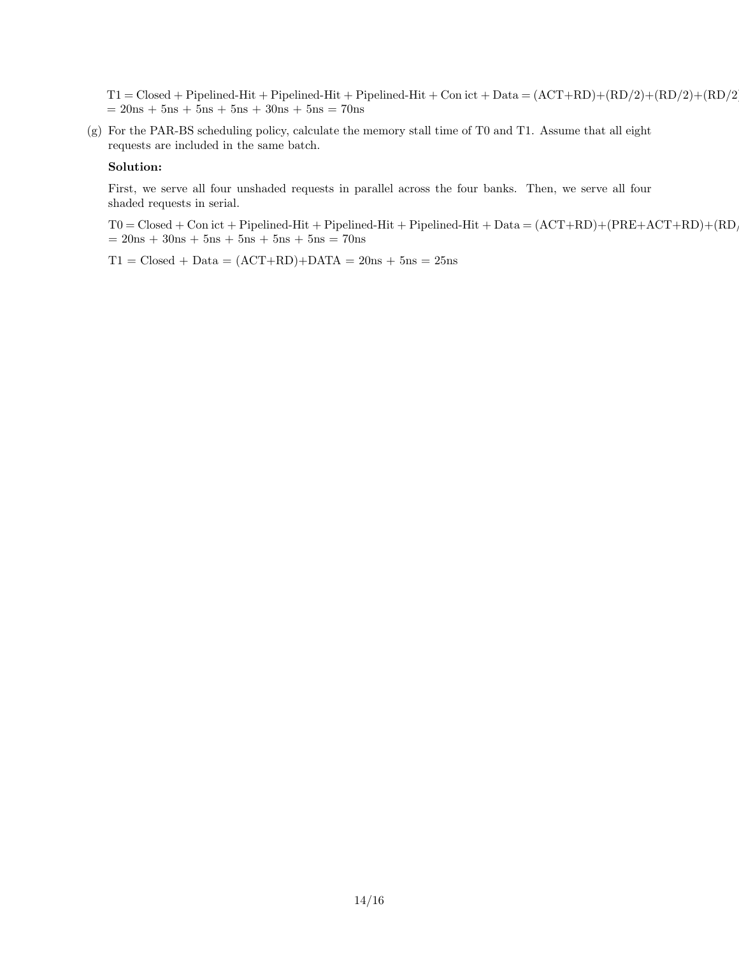$T1 = Closed + Pipelined-Hit + Pipelined-Hit + Pipelined-Hit + Con ict + Data = (ACT+RD)+(RD/2)+(RD/2)+(RD/2)$  $= 20ns + 5ns + 5ns + 5ns + 30ns + 5ns = 70ns$ 

(g) For the PAR-BS scheduling policy, calculate the memory stall time of T0 and T1. Assume that all eight requests are included in the same batch.

### Solution:

First, we serve all four unshaded requests in parallel across the four banks. Then, we serve all four shaded requests in serial.

 $T0 = Closed + Con$ ict + Pipelined-Hit + Pipelined-Hit + Pipelined-Hit + Data =  $(ACT+RD)+(PRE+ACT+RD)+(RD)$  $= 20ns + 30ns + 5ns + 5ns + 5ns + 5ns = 70ns$ 

 $T1 = Closed + Data = (ACT+RD)+DATA = 20ns + 5ns = 25ns$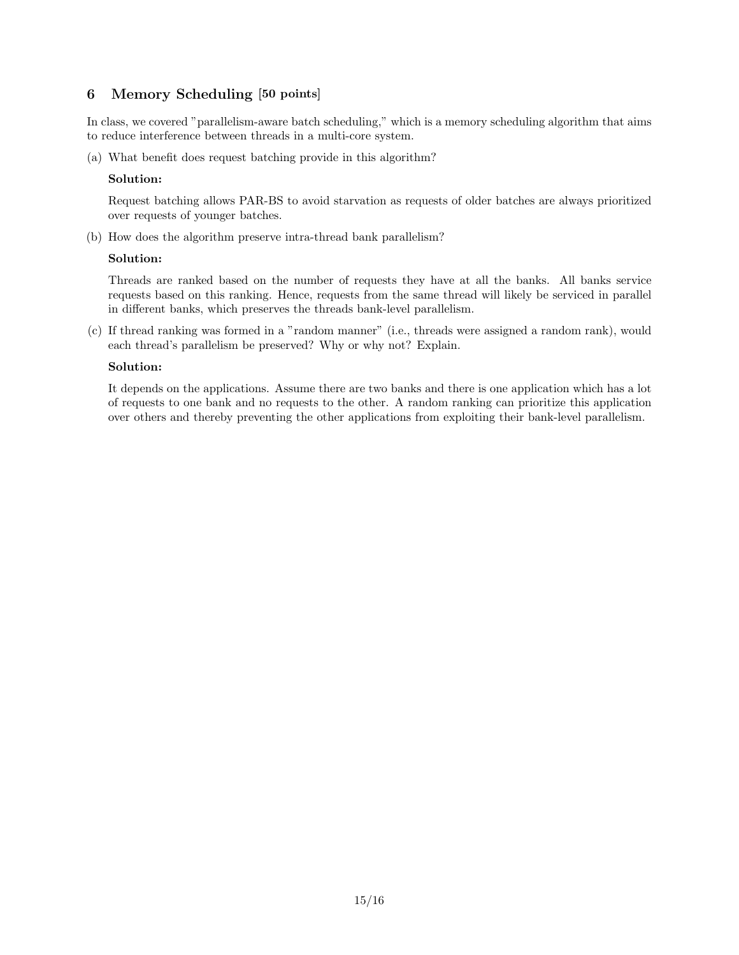## 6 Memory Scheduling [50 points]

In class, we covered "parallelism-aware batch scheduling," which is a memory scheduling algorithm that aims to reduce interference between threads in a multi-core system.

(a) What benefit does request batching provide in this algorithm?

### Solution:

Request batching allows PAR-BS to avoid starvation as requests of older batches are always prioritized over requests of younger batches.

(b) How does the algorithm preserve intra-thread bank parallelism?

### Solution:

Threads are ranked based on the number of requests they have at all the banks. All banks service requests based on this ranking. Hence, requests from the same thread will likely be serviced in parallel in different banks, which preserves the threads bank-level parallelism.

(c) If thread ranking was formed in a "random manner" (i.e., threads were assigned a random rank), would each thread's parallelism be preserved? Why or why not? Explain.

### Solution:

It depends on the applications. Assume there are two banks and there is one application which has a lot of requests to one bank and no requests to the other. A random ranking can prioritize this application over others and thereby preventing the other applications from exploiting their bank-level parallelism.